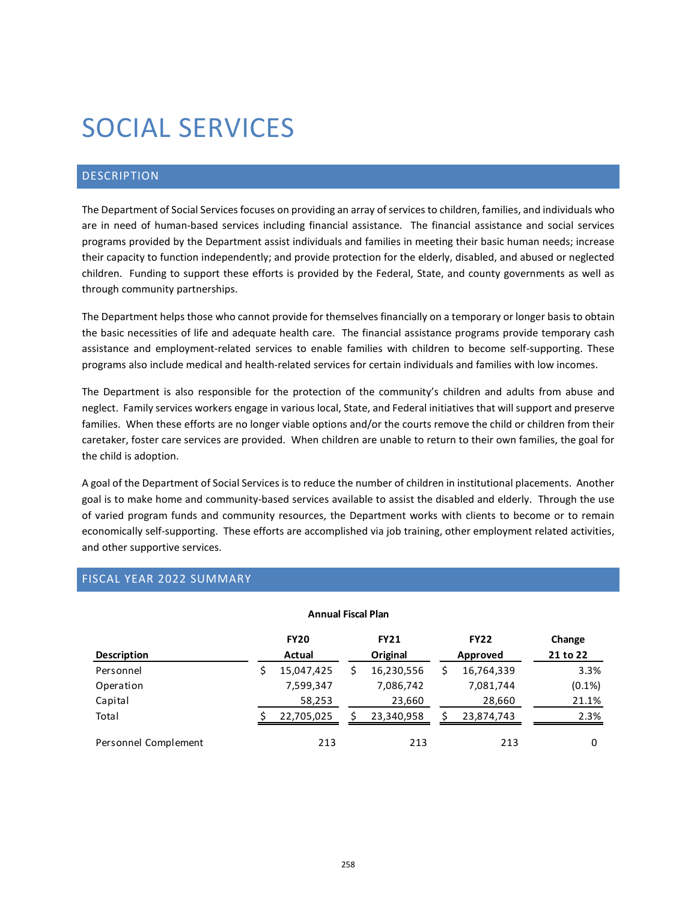# SOCIAL SERVICES

## DESCRIPTION

The Department of Social Services focuses on providing an array of services to children, families, and individuals who are in need of human-based services including financial assistance. The financial assistance and social services programs provided by the Department assist individuals and families in meeting their basic human needs; increase their capacity to function independently; and provide protection for the elderly, disabled, and abused or neglected children. Funding to support these efforts is provided by the Federal, State, and county governments as well as through community partnerships.

The Department helps those who cannot provide for themselves financially on a temporary or longer basis to obtain the basic necessities of life and adequate health care. The financial assistance programs provide temporary cash assistance and employment-related services to enable families with children to become self-supporting. These programs also include medical and health-related services for certain individuals and families with low incomes.

The Department is also responsible for the protection of the community's children and adults from abuse and neglect. Family services workers engage in various local, State, and Federal initiatives that will support and preserve families. When these efforts are no longer viable options and/or the courts remove the child or children from their caretaker, foster care services are provided. When children are unable to return to their own families, the goal for the child is adoption.

A goal of the Department of Social Services is to reduce the number of children in institutional placements. Another goal is to make home and community-based services available to assist the disabled and elderly. Through the use of varied program funds and community resources, the Department works with clients to become or to remain economically self-supporting. These efforts are accomplished via job training, other employment related activities, and other supportive services.

# FISCAL YEAR 2022 SUMMARY

| <b>Annual Fiscal Plan</b> |        |             |          |             |          |             |           |  |  |  |  |
|---------------------------|--------|-------------|----------|-------------|----------|-------------|-----------|--|--|--|--|
|                           |        | <b>FY20</b> |          | <b>FY21</b> |          | <b>FY22</b> | Change    |  |  |  |  |
| <b>Description</b>        | Actual |             | Original |             | Approved |             | 21 to 22  |  |  |  |  |
| Personnel                 | \$     | 15,047,425  | S        | 16,230,556  |          | 16,764,339  | 3.3%      |  |  |  |  |
| Operation                 |        | 7,599,347   |          | 7,086,742   |          | 7,081,744   | $(0.1\%)$ |  |  |  |  |
| Capital                   |        | 58,253      |          | 23,660      |          | 28,660      | 21.1%     |  |  |  |  |
| Total                     |        | 22,705,025  |          | 23,340,958  |          | 23,874,743  | 2.3%      |  |  |  |  |
| Personnel Complement      |        | 213         |          | 213         |          | 213         | 0         |  |  |  |  |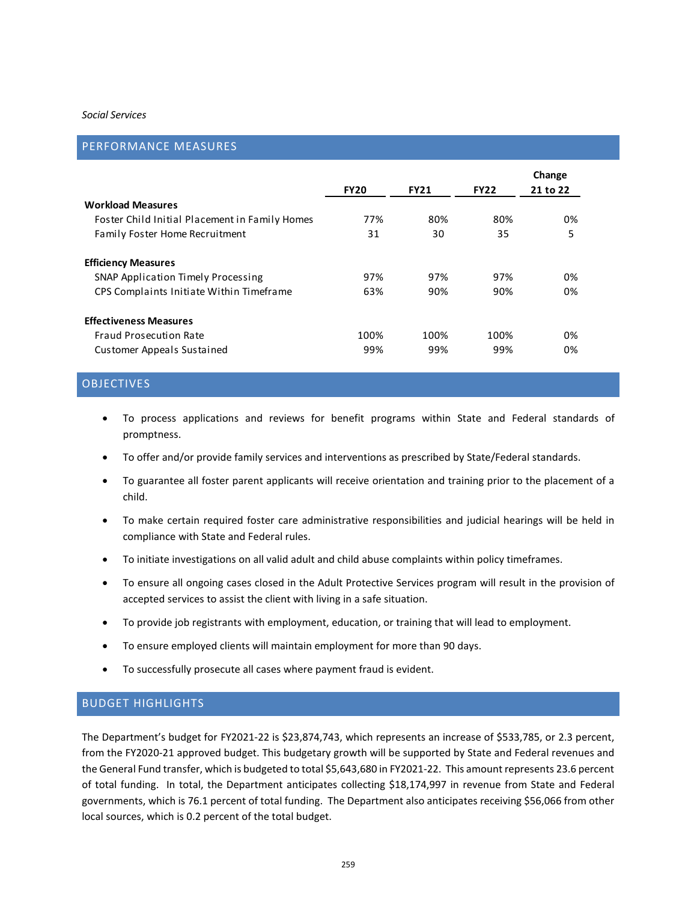#### *Social Services*

#### PERFORMANCE MEASURES

|                                                |             |             |             | Change   |
|------------------------------------------------|-------------|-------------|-------------|----------|
|                                                | <b>FY20</b> | <b>FY21</b> | <b>FY22</b> | 21 to 22 |
| <b>Workload Measures</b>                       |             |             |             |          |
| Foster Child Initial Placement in Family Homes | 77%         | 80%         | 80%         | 0%       |
| Family Foster Home Recruitment                 | 31          | 30          | 35          | 5        |
| <b>Efficiency Measures</b>                     |             |             |             |          |
| SNAP Application Timely Processing             | 97%         | 97%         | 97%         | 0%       |
| CPS Complaints Initiate Within Timeframe       | 63%         | 90%         | 90%         | 0%       |
| <b>Effectiveness Measures</b>                  |             |             |             |          |
| Fraud Prosecution Rate                         | 100%        | 100%        | 100%        | 0%       |
| Customer Appeals Sustained                     | 99%         | 99%         | 99%         | 0%       |

# OBJECTIVES

- To process applications and reviews for benefit programs within State and Federal standards of promptness.
- To offer and/or provide family services and interventions as prescribed by State/Federal standards.
- To guarantee all foster parent applicants will receive orientation and training prior to the placement of a child.
- To make certain required foster care administrative responsibilities and judicial hearings will be held in compliance with State and Federal rules.
- To initiate investigations on all valid adult and child abuse complaints within policy timeframes.
- To ensure all ongoing cases closed in the Adult Protective Services program will result in the provision of accepted services to assist the client with living in a safe situation.
- To provide job registrants with employment, education, or training that will lead to employment.
- To ensure employed clients will maintain employment for more than 90 days.
- To successfully prosecute all cases where payment fraud is evident.

### BUDGET HIGHLIGHTS

The Department's budget for FY2021-22 is \$23,874,743, which represents an increase of \$533,785, or 2.3 percent, from the FY2020-21 approved budget. This budgetary growth will be supported by State and Federal revenues and the General Fund transfer, which is budgeted to total \$5,643,680 in FY2021-22. This amount represents 23.6 percent of total funding. In total, the Department anticipates collecting \$18,174,997 in revenue from State and Federal governments, which is 76.1 percent of total funding. The Department also anticipates receiving \$56,066 from other local sources, which is 0.2 percent of the total budget.